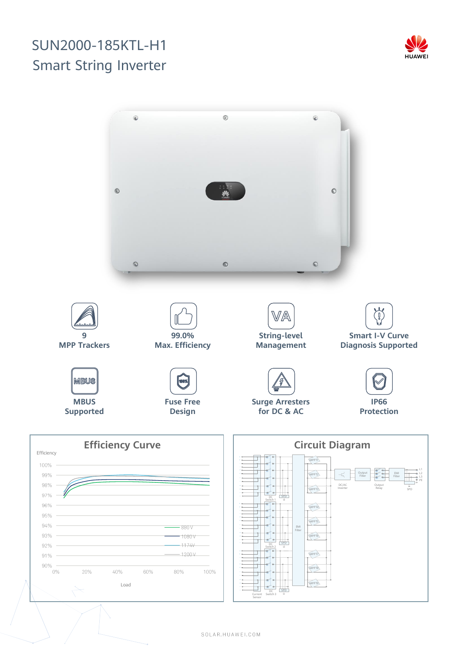## SUN2000-185KTL-H1 Smart String Inverter





DC Switch 3

Current Sensor